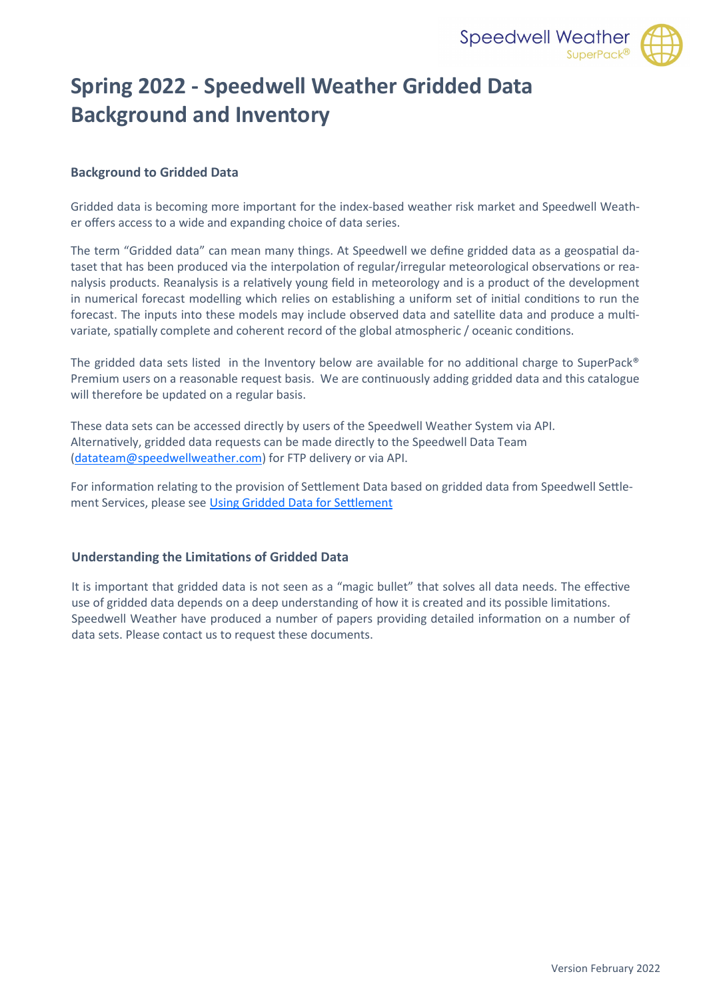

# **Spring 2022 - Speedwell Weather Gridded Data Background and Inventory**

#### **Background to Gridded Data**

Gridded data is becoming more important for the index-based weather risk market and Speedwell Weather offers access to a wide and expanding choice of data series.

The term "Gridded data" can mean many things. At Speedwell we define gridded data as a geospatial dataset that has been produced via the interpolation of regular/irregular meteorological observations or reanalysis products. Reanalysis is a relatively young field in meteorology and is a product of the development in numerical forecast modelling which relies on establishing a uniform set of initial conditions to run the forecast. The inputs into these models may include observed data and satellite data and produce a multivariate, spatially complete and coherent record of the global atmospheric / oceanic conditions.

The gridded data sets listed in the Inventory below are available for no additional charge to SuperPack® Premium users on a reasonable request basis. We are continuously adding gridded data and this catalogue will therefore be updated on a regular basis.

These data sets can be accessed directly by users of the Speedwell Weather System via API. Alternatively, gridded data requests can be made directly to the Speedwell Data Team ([datateam@speedwellweather.com\)](mailto:datateam@speedwellweather.com?subject=Speedwell%20Weather%20-%20Gridded%20Data%20Enquiry) for FTP delivery or via API.

For information relating to the provision of Settlement Data based on gridded data from Speedwell Settlement Services, please see [Using Gridded Data for Settlement](#page-1-0)

#### **Understanding the Limitations of Gridded Data**

It is important that gridded data is not seen as a "magic bullet" that solves all data needs. The effective use of gridded data depends on a deep understanding of how it is created and its possible limitations. Speedwell Weather have produced a number of papers providing detailed information on a number of data sets. Please contact us to request these documents.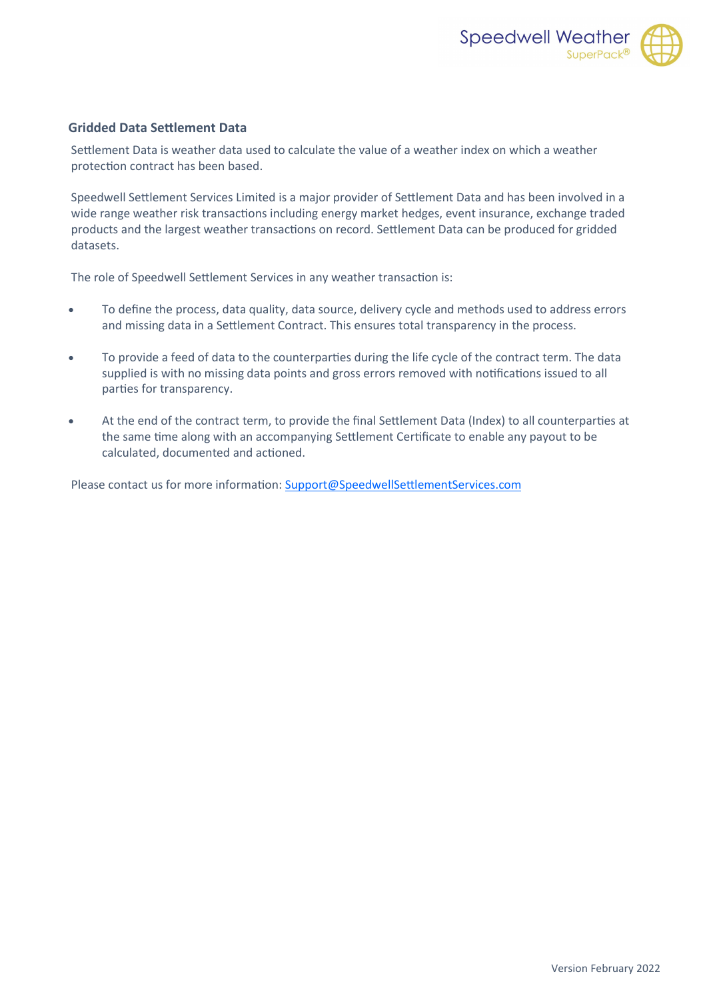

#### <span id="page-1-0"></span>**Gridded Data Settlement Data**

Settlement Data is weather data used to calculate the value of a weather index on which a weather protection contract has been based.

Speedwell Settlement Services Limited is a major provider of Settlement Data and has been involved in a wide range weather risk transactions including energy market hedges, event insurance, exchange traded products and the largest weather transactions on record. Settlement Data can be produced for gridded datasets.

The role of Speedwell Settlement Services in any weather transaction is:

- To define the process, data quality, data source, delivery cycle and methods used to address errors and missing data in a Settlement Contract. This ensures total transparency in the process.
- To provide a feed of data to the counterparties during the life cycle of the contract term. The data supplied is with no missing data points and gross errors removed with notifications issued to all parties for transparency.
- At the end of the contract term, to provide the final Settlement Data (Index) to all counterparties at the same time along with an accompanying Settlement Certificate to enable any payout to be calculated, documented and actioned.

Please contact us for more information: [Support@SpeedwellSettlementServices.com](mailto:Support@SpeedwellSettlementServices.com?subject=Speedwell%20Settlement%20Services%20-%20Gridded%20Data)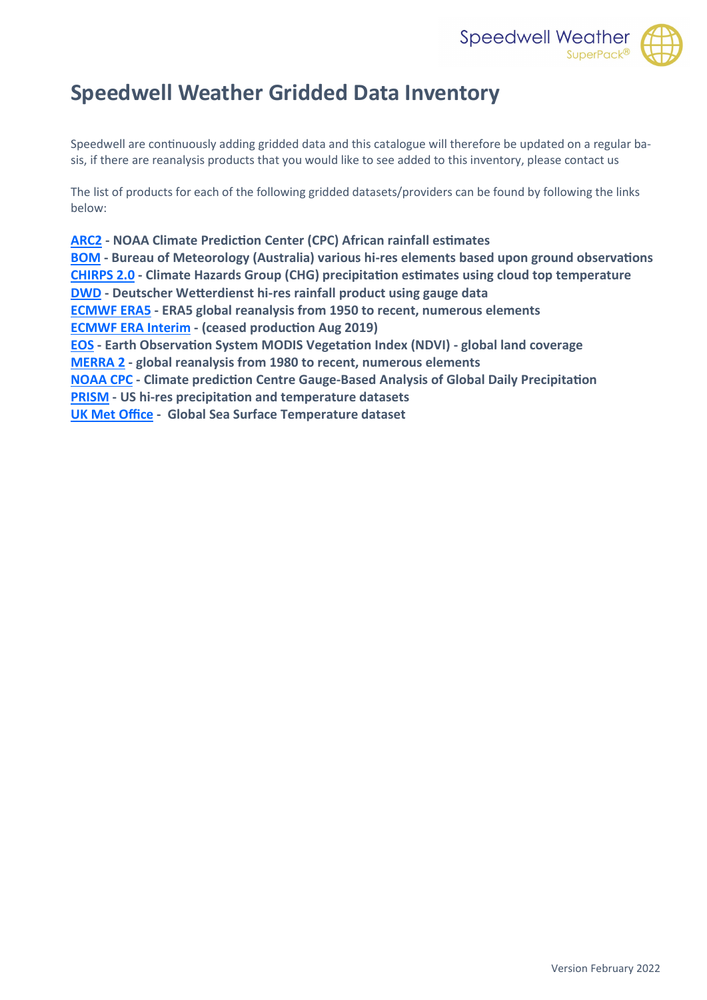

# <span id="page-2-0"></span>**Speedwell Weather Gridded Data Inventory**

Speedwell are continuously adding gridded data and this catalogue will therefore be updated on a regular basis, if there are reanalysis products that you would like to see added to this inventory, please contact us

The list of products for each of the following gridded datasets/providers can be found by following the links below:

**[ARC2](#page-3-0) - NOAA Climate Prediction Center (CPC) African rainfall estimates [BOM](#page-4-0) - Bureau of Meteorology (Australia) various hi-res elements based upon ground observations [CHIRPS 2.0](#page-5-0) - Climate Hazards Group (CHG) precipitation estimates using cloud top temperature [DWD](#page-6-0) - Deutscher Wetterdienst hi-res rainfall product using gauge data [ECMWF ERA5](#page-7-0) - ERA5 global reanalysis from 1950 to recent, numerous elements [ECMWF ERA Interim](#page-8-0) - (ceased production Aug 2019) [EOS](#page-9-0) - Earth Observation System MODIS Vegetation Index (NDVI) - global land coverage [MERRA 2](#page-10-0) - global reanalysis from 1980 to recent, numerous elements [NOAA CPC](#page-11-0) - Climate prediction Centre Gauge-Based Analysis of Global Daily Precipitation [PRISM](#page-12-0) - US hi-res precipitation and temperature datasets [UK Met Office](#page-13-0) - Global Sea Surface Temperature dataset**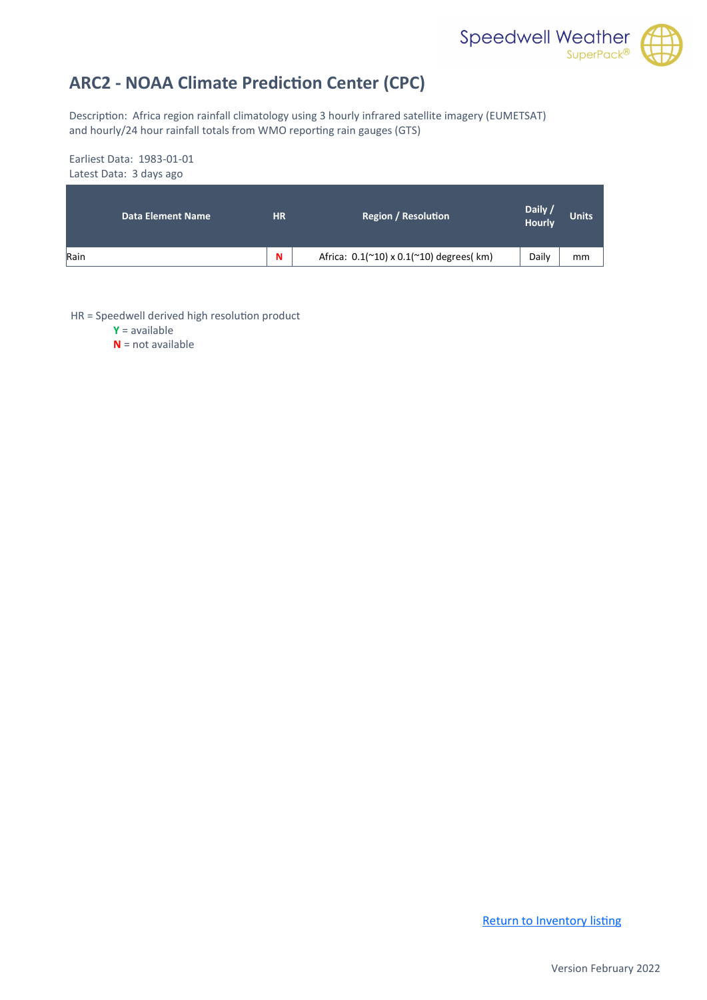

## <span id="page-3-0"></span>**ARC2 - NOAA Climate Prediction Center (CPC)**

Description: Africa region rainfall climatology using 3 hourly infrared satellite imagery (EUMETSAT) and hourly/24 hour rainfall totals from WMO reporting rain gauges (GTS)

#### Earliest Data: 1983-01-01 Latest Data: 3 days ago

| <b>Data Element Name</b> | <b>HR</b> | <b>Region / Resolution</b>                                     | Daily /<br>Hourly | <b>Units</b> |
|--------------------------|-----------|----------------------------------------------------------------|-------------------|--------------|
| Rain                     | N         | Africa: $0.1($ $^{\sim}10)$ x $0.1($ $^{\sim}10)$ degrees( km) | Daily             | mm           |

HR = Speedwell derived high resolution product

**Y** = available

**N** = not available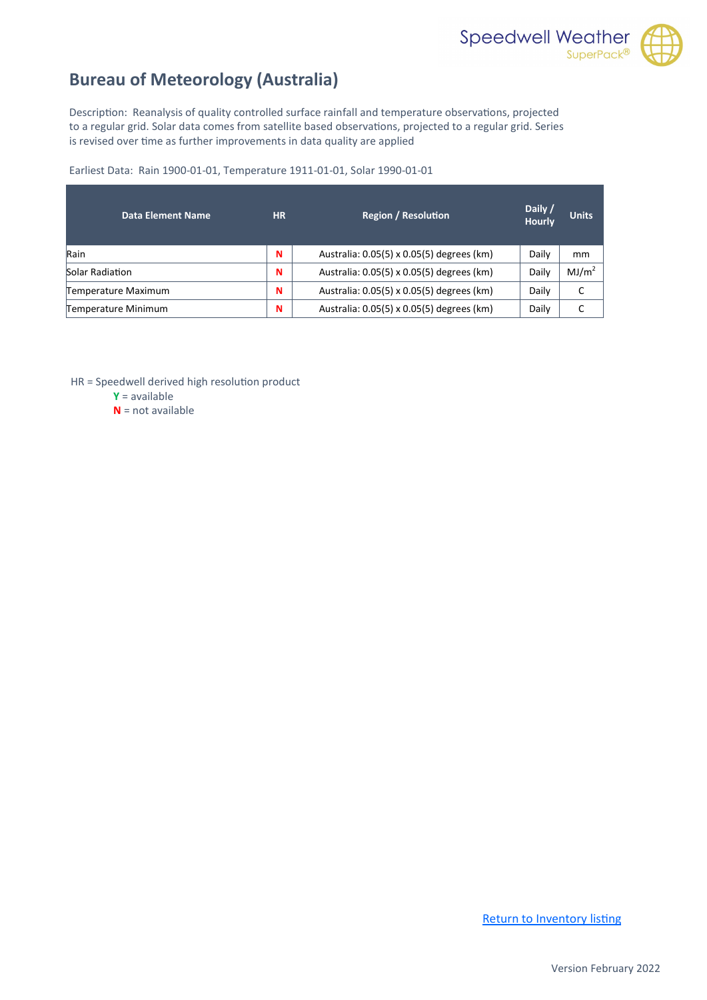

## <span id="page-4-0"></span>**Bureau of Meteorology (Australia)**

Description: Reanalysis of quality controlled surface rainfall and temperature observations, projected to a regular grid. Solar data comes from satellite based observations, projected to a regular grid. Series is revised over time as further improvements in data quality are applied

Earliest Data: Rain 1900-01-01, Temperature 1911-01-01, Solar 1990-01-01

| Data Element Name   | <b>HR</b> | <b>Region / Resolution</b>                | Daily /<br><b>Hourly</b> | <b>Units</b>      |
|---------------------|-----------|-------------------------------------------|--------------------------|-------------------|
| Rain                | N         | Australia: 0.05(5) x 0.05(5) degrees (km) | Daily                    | mm                |
| Solar Radiation     | N         | Australia: 0.05(5) x 0.05(5) degrees (km) | Daily                    | MJ/m <sup>2</sup> |
| Temperature Maximum | N         | Australia: 0.05(5) x 0.05(5) degrees (km) | Daily                    |                   |
| Temperature Minimum | N         | Australia: 0.05(5) x 0.05(5) degrees (km) | Daily                    |                   |

HR = Speedwell derived high resolution product

**Y** = available

**N** = not available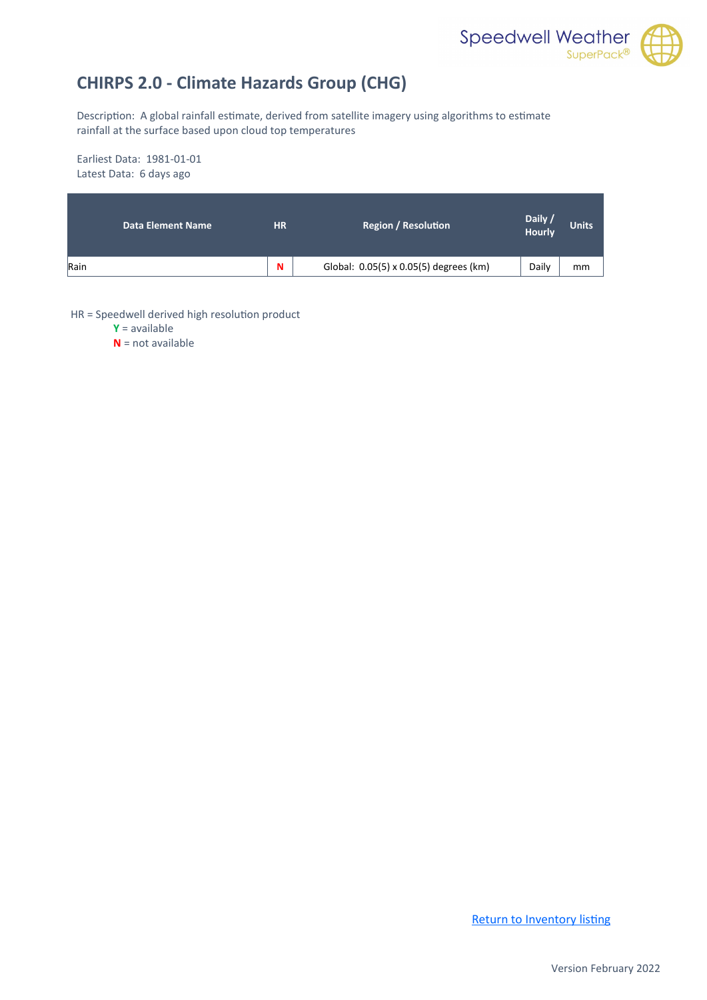

## <span id="page-5-0"></span>**CHIRPS 2.0 - Climate Hazards Group (CHG)**

Description: A global rainfall estimate, derived from satellite imagery using algorithms to estimate rainfall at the surface based upon cloud top temperatures

Earliest Data: 1981-01-01 Latest Data: 6 days ago

| <b>Data Element Name</b> | <b>HR</b> | <b>Region / Resolution</b>             | Daily /<br>Hourly | <b>Units</b> |
|--------------------------|-----------|----------------------------------------|-------------------|--------------|
| Rain                     | N         | Global: 0.05(5) x 0.05(5) degrees (km) | Daily             | mm           |

HR = Speedwell derived high resolution product

**Y** = available

**N** = not available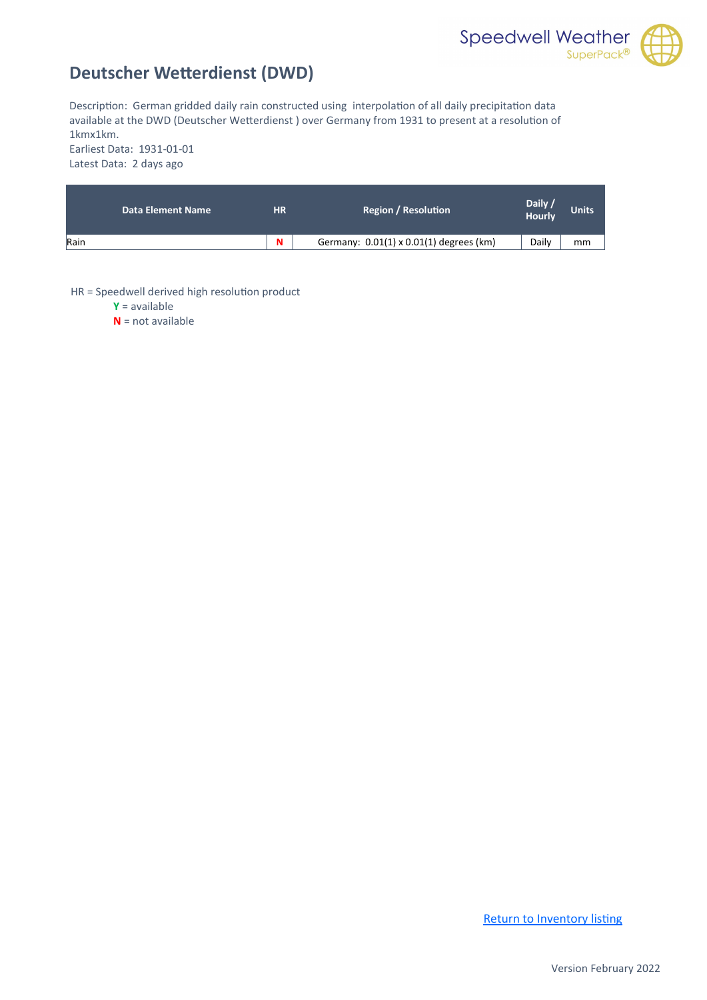

## <span id="page-6-0"></span>**Deutscher Wetterdienst (DWD)**

Description: German gridded daily rain constructed using interpolation of all daily precipitation data available at the DWD (Deutscher Wetterdienst ) over Germany from 1931 to present at a resolution of 1kmx1km. Earliest Data: 1931-01-01

Latest Data: 2 days ago

| <b>Data Element Name</b> | <b>HR</b> | <b>Region / Resolution</b>              | Daily /<br>Hourly | <b>Units</b> |
|--------------------------|-----------|-----------------------------------------|-------------------|--------------|
| Rain                     | N         | Germany: 0.01(1) x 0.01(1) degrees (km) | Daily             | mm           |

HR = Speedwell derived high resolution product

**Y** = available

**N** = not available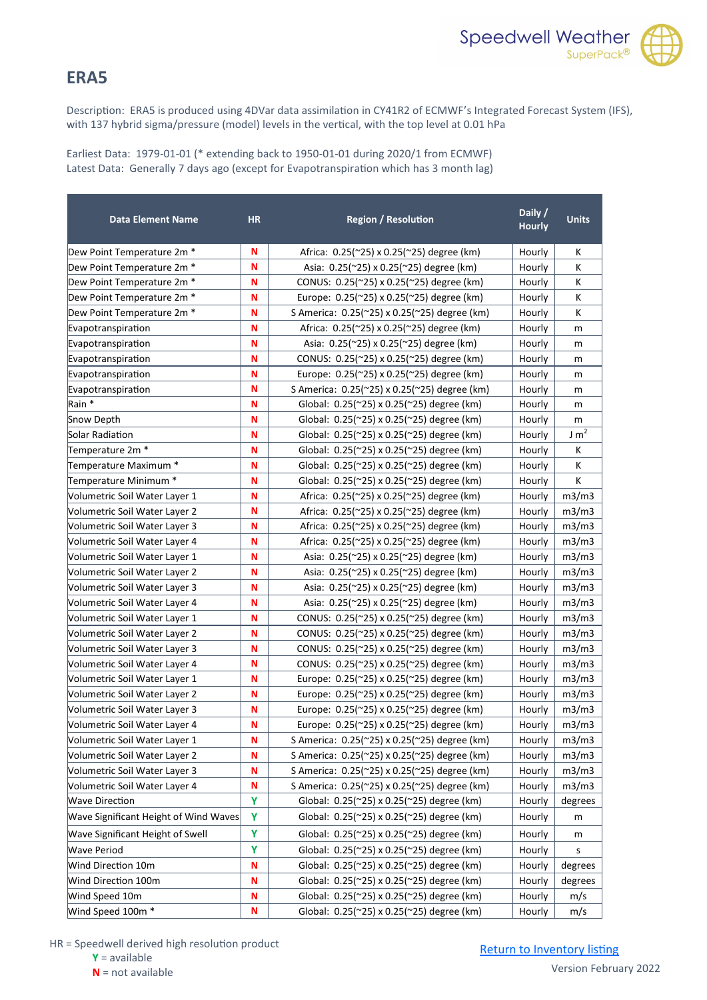

#### <span id="page-7-0"></span>**ERA5**

Description: ERA5 is produced using 4DVar data assimilation in CY41R2 of ECMWF's Integrated Forecast System (IFS), with 137 hybrid sigma/pressure (model) levels in the vertical, with the top level at 0.01 hPa

Earliest Data: 1979-01-01 (\* extending back to 1950-01-01 during 2020/1 from ECMWF) Latest Data: Generally 7 days ago (except for Evapotranspiration which has 3 month lag)

| <b>Data Element Name</b>              | <b>HR</b> | <b>Region / Resolution</b>                         | Daily /<br><b>Hourly</b> | <b>Units</b> |
|---------------------------------------|-----------|----------------------------------------------------|--------------------------|--------------|
| Dew Point Temperature 2m *            | N         | Africa: 0.25(~25) x 0.25(~25) degree (km)          | Hourly                   | Κ            |
| Dew Point Temperature 2m *            | N         | Asia: 0.25(~25) x 0.25(~25) degree (km)            | Hourly                   | K            |
| Dew Point Temperature 2m *            | N         | CONUS: 0.25(~25) x 0.25(~25) degree (km)           | Hourly                   | К            |
| Dew Point Temperature 2m *            | N         | Europe: 0.25(~25) x 0.25(~25) degree (km)          | Hourly                   | К            |
| Dew Point Temperature 2m *            | N         | S America: 0.25(~25) x 0.25(~25) degree (km)       | Hourly                   | К            |
| Evapotranspiration                    | N         | Africa: 0.25(~25) x 0.25(~25) degree (km)          | Hourly                   | m            |
| Evapotranspiration                    | N         | Asia: 0.25(~25) x 0.25(~25) degree (km)            | Hourly                   | m            |
| Evapotranspiration                    | N         | CONUS: 0.25(~25) x 0.25(~25) degree (km)           | Hourly                   | m            |
| Evapotranspiration                    | N         | Europe: 0.25(~25) x 0.25(~25) degree (km)          | Hourly                   | m            |
| Evapotranspiration                    | N         | S America: 0.25(~25) x 0.25(~25) degree (km)       | Hourly                   | m            |
| Rain *                                | N         | Global: 0.25(~25) x 0.25(~25) degree (km)          | Hourly                   | m            |
| Snow Depth                            | N         | Global: 0.25(~25) x 0.25(~25) degree (km)          | Hourly                   | m            |
| Solar Radiation                       | N         | Global: 0.25(~25) x 0.25(~25) degree (km)          | Hourly                   | $J m^2$      |
| Temperature 2m *                      | N         | Global: 0.25(~25) x 0.25(~25) degree (km)          | Hourly                   | К            |
| Temperature Maximum *                 | N         | Global: $0.25$ (~25) x 0.25(~25) degree (km)       | Hourly                   | К            |
| Temperature Minimum *                 | N         | Global: 0.25(~25) x 0.25(~25) degree (km)          | Hourly                   | K            |
| Volumetric Soil Water Layer 1         | N         | Africa: 0.25(~25) x 0.25(~25) degree (km)          | Hourly                   | m3/m3        |
| Volumetric Soil Water Layer 2         | N         | Africa: 0.25(~25) x 0.25(~25) degree (km)          | Hourly                   | m3/m3        |
| Volumetric Soil Water Layer 3         | N         | Africa: 0.25(~25) x 0.25(~25) degree (km)          | Hourly                   | m3/m3        |
| Volumetric Soil Water Layer 4         | N         | Africa: 0.25(~25) x 0.25(~25) degree (km)          | Hourly                   | m3/m3        |
| Volumetric Soil Water Layer 1         | N         | Asia: 0.25(~25) x 0.25(~25) degree (km)            | Hourly                   | m3/m3        |
| Volumetric Soil Water Layer 2         | N         | Asia: 0.25(~25) x 0.25(~25) degree (km)            | Hourly                   | m3/m3        |
| Volumetric Soil Water Layer 3         | N         | Asia: 0.25(~25) x 0.25(~25) degree (km)            | Hourly                   | m3/m3        |
| Volumetric Soil Water Layer 4         | N         | Asia: 0.25(~25) x 0.25(~25) degree (km)            | Hourly                   | m3/m3        |
| Volumetric Soil Water Layer 1         | N         | CONUS: 0.25(~25) x 0.25(~25) degree (km)           | Hourly                   | m3/m3        |
| Volumetric Soil Water Layer 2         | N         | CONUS: 0.25(~25) x 0.25(~25) degree (km)           | Hourly                   | m3/m3        |
| Volumetric Soil Water Layer 3         | N         | CONUS: 0.25(~25) x 0.25(~25) degree (km)           | Hourly                   | m3/m3        |
| Volumetric Soil Water Layer 4         | N         | CONUS: 0.25(~25) x 0.25(~25) degree (km)           | Hourly                   | m3/m3        |
| Volumetric Soil Water Layer 1         | N         | Europe: $0.25$ ( $25$ ) x 0.25( $25$ ) degree (km) | Hourly                   | m3/m3        |
| Volumetric Soil Water Layer 2         | N         | Europe: $0.25$ (~25) x 0.25(~25) degree (km)       | Hourly                   | m3/m3        |
| Volumetric Soil Water Layer 3         | N         | Europe: 0.25(~25) x 0.25(~25) degree (km)          | Hourly                   | m3/m3        |
| Volumetric Soil Water Layer 4         | N         | Europe: 0.25(~25) x 0.25(~25) degree (km)          | Hourly                   | m3/m3        |
| Volumetric Soil Water Layer 1         | N         | S America: 0.25(~25) x 0.25(~25) degree (km)       | Hourly                   | m3/m3        |
| Volumetric Soil Water Layer 2         | N         | S America: 0.25(~25) x 0.25(~25) degree (km)       | Hourly                   | m3/m3        |
| Volumetric Soil Water Layer 3         | N         | S America: 0.25(~25) x 0.25(~25) degree (km)       | Hourly                   | m3/m3        |
| Volumetric Soil Water Layer 4         | N         | S America: 0.25(~25) x 0.25(~25) degree (km)       | Hourly                   | m3/m3        |
| <b>Wave Direction</b>                 | Y         | Global: 0.25(~25) x 0.25(~25) degree (km)          | Hourly                   | degrees      |
| Wave Significant Height of Wind Waves | Υ         | Global: 0.25(~25) x 0.25(~25) degree (km)          | Hourly                   | m            |
| Wave Significant Height of Swell      | Υ         | Global: 0.25(~25) x 0.25(~25) degree (km)          | Hourly                   | m            |
| Wave Period                           | Y         | Global: 0.25(~25) x 0.25(~25) degree (km)          | Hourly                   | s            |
| Wind Direction 10m                    | N         | Global: 0.25(~25) x 0.25(~25) degree (km)          | Hourly                   | degrees      |
| Wind Direction 100m                   | N         | Global: 0.25(~25) x 0.25(~25) degree (km)          | Hourly                   | degrees      |
| Wind Speed 10m                        | N         | Global: 0.25(~25) x 0.25(~25) degree (km)          | Hourly                   | m/s          |
| Wind Speed 100m *                     | N         | Global: 0.25(~25) x 0.25(~25) degree (km)          | Hourly                   | m/s          |

HR = Speedwell derived high resolution product

**Y** = available

**N** = not available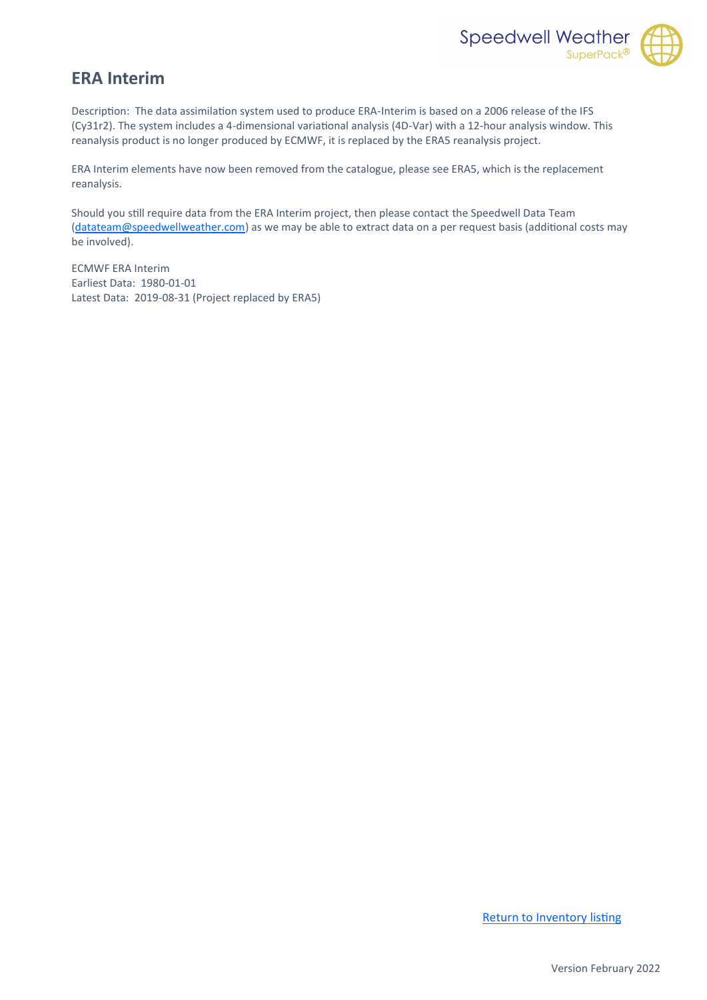

#### <span id="page-8-0"></span>**ERA Interim**

Description: The data assimilation system used to produce ERA-Interim is based on a 2006 release of the IFS (Cy31r2). The system includes a 4-dimensional variational analysis (4D-Var) with a 12-hour analysis window. This reanalysis product is no longer produced by ECMWF, it is replaced by the ERA5 reanalysis project.

ERA Interim elements have now been removed from the catalogue, please see ERA5, which is the replacement reanalysis.

Should you still require data from the ERA Interim project, then please contact the Speedwell Data Team [\(datateam@speedwellweather.com\)](mailto:datateam@speedwellweather.com?subject=Speedwell%20Weather%20-%20Gridded%20Data%20Enquiry) as we may be able to extract data on a per request basis (additional costs may be involved).

ECMWF ERA Interim Earliest Data: 1980-01-01 Latest Data: 2019-08-31 (Project replaced by ERA5)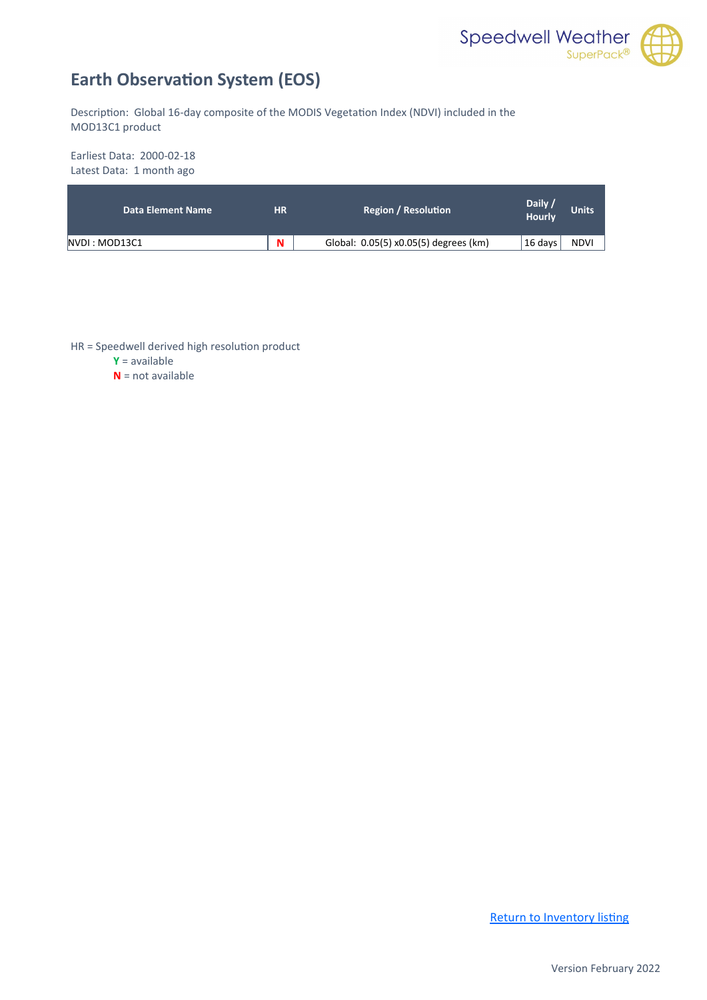

## <span id="page-9-0"></span>**Earth Observation System (EOS)**

Description: Global 16-day composite of the MODIS Vegetation Index (NDVI) included in the MOD13C1 product

Earliest Data: 2000-02-18 Latest Data: 1 month ago

| Data Element Name | <b>HR</b> | <b>Region / Resolution</b>            | Daily /<br>Hourly | <b>Units</b> |
|-------------------|-----------|---------------------------------------|-------------------|--------------|
| NVDI : MOD13C1    | N         | Global: 0.05(5) x0.05(5) degrees (km) | 16 days           | <b>NDVI</b>  |

HR = Speedwell derived high resolution product

**Y** = available

**N** = not available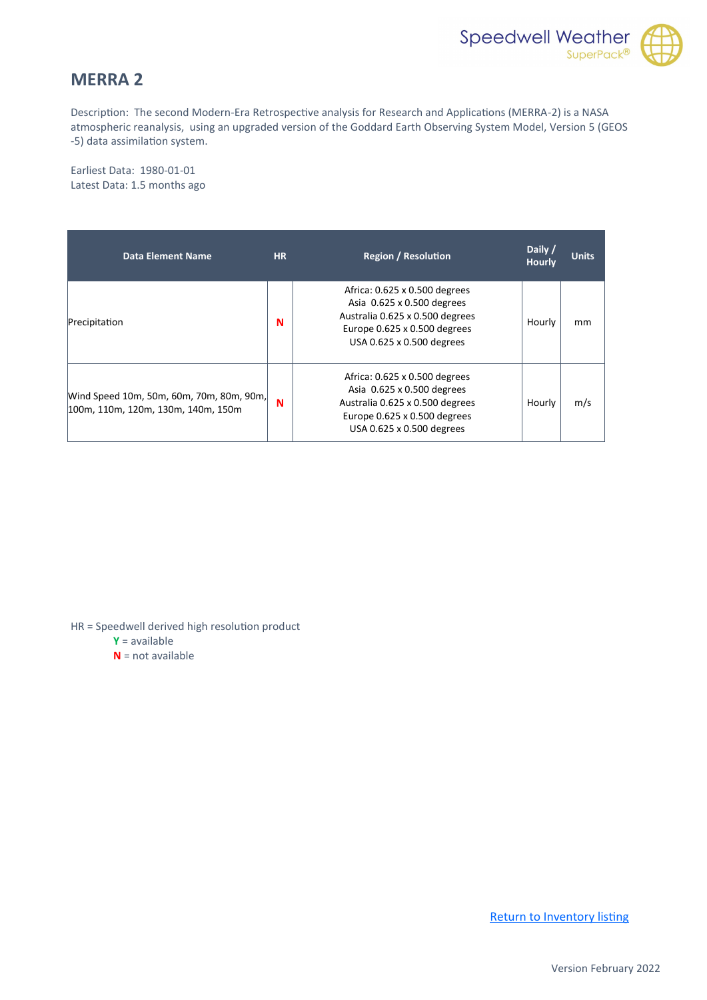

#### <span id="page-10-0"></span>**MERRA 2**

Description: The second Modern-Era Retrospective analysis for Research and Applications (MERRA-2) is a NASA atmospheric reanalysis, using an upgraded version of the Goddard Earth Observing System Model, Version 5 (GEOS -5) data assimilation system.

Earliest Data: 1980-01-01 Latest Data: 1.5 months ago

| Data Element Name                                                              | <b>HR</b> | <b>Region / Resolution</b>                                                                                                                                  | Daily /<br><b>Hourly</b> | <b>Units</b> |
|--------------------------------------------------------------------------------|-----------|-------------------------------------------------------------------------------------------------------------------------------------------------------------|--------------------------|--------------|
| Precipitation                                                                  | N         | Africa: 0.625 x 0.500 degrees<br>Asia 0.625 x 0.500 degrees<br>Australia 0.625 x 0.500 degrees<br>Europe 0.625 x 0.500 degrees<br>USA 0.625 x 0.500 degrees | Hourly                   | mm           |
| Wind Speed 10m, 50m, 60m, 70m, 80m, 90m,<br>100m, 110m, 120m, 130m, 140m, 150m | N         | Africa: 0.625 x 0.500 degrees<br>Asia 0.625 x 0.500 degrees<br>Australia 0.625 x 0.500 degrees<br>Europe 0.625 x 0.500 degrees<br>USA 0.625 x 0.500 degrees | Hourly                   | m/s          |

HR = Speedwell derived high resolution product

**Y** = available

**N** = not available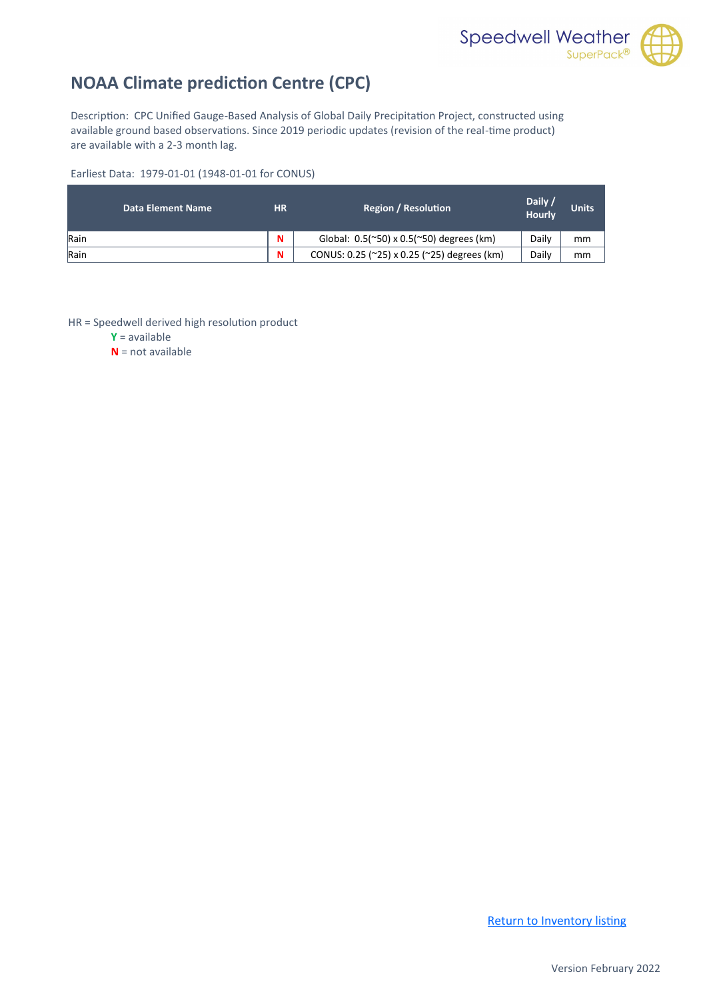

## <span id="page-11-0"></span>**NOAA Climate prediction Centre (CPC)**

Description: CPC Unified Gauge-Based Analysis of Global Daily Precipitation Project, constructed using available ground based observations. Since 2019 periodic updates (revision of the real-time product) are available with a 2-3 month lag.

Earliest Data: 1979-01-01 (1948-01-01 for CONUS)

| Data Element Name | НR | <b>Region / Resolution</b>                     | Daily /<br><b>Hourly</b> | <b>Units</b> |
|-------------------|----|------------------------------------------------|--------------------------|--------------|
| Rain              | N  | Global: $0.5$ (~50) x $0.5$ (~50) degrees (km) | Daily                    | mm           |
| Rain              | N  | CONUS: 0.25 (~25) x 0.25 (~25) degrees (km)    | Daily                    | mm           |

HR = Speedwell derived high resolution product

**Y** = available

**N** = not available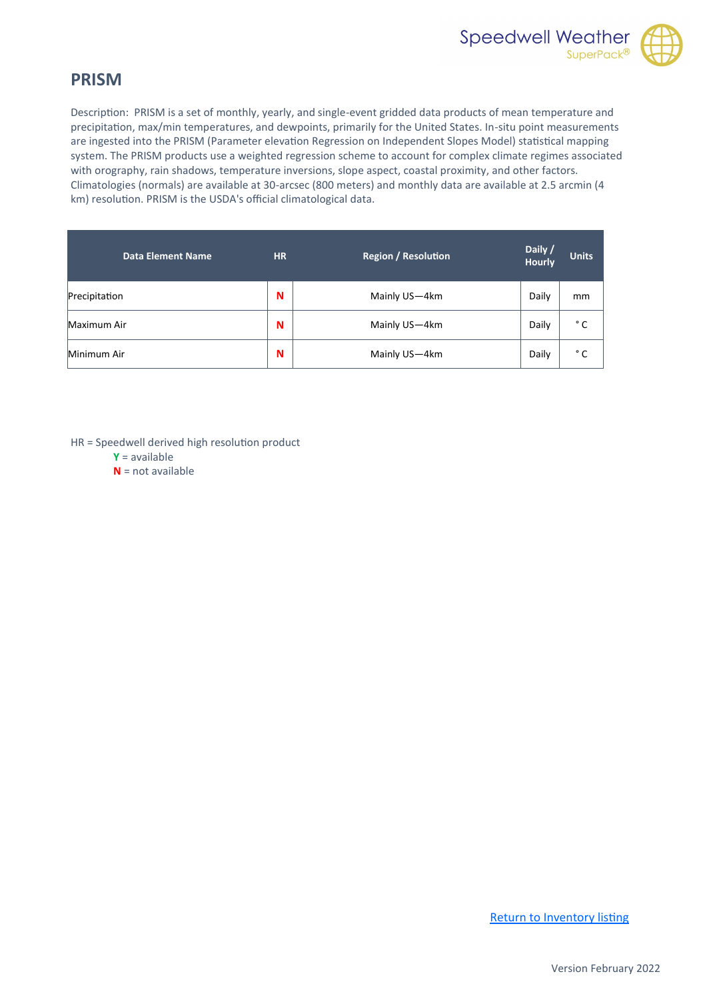

#### <span id="page-12-0"></span>**PRISM**

Description: PRISM is a set of monthly, yearly, and single-event gridded data products of mean temperature and precipitation, max/min temperatures, and dewpoints, primarily for the United States. In-situ point measurements are ingested into the PRISM (Parameter elevation Regression on Independent Slopes Model) statistical mapping system. The PRISM products use a weighted regression scheme to account for complex climate regimes associated with orography, rain shadows, temperature inversions, slope aspect, coastal proximity, and other factors. Climatologies (normals) are available at 30-arcsec (800 meters) and monthly data are available at 2.5 arcmin (4 km) resolution. PRISM is the USDA's official climatological data.

| <b>Data Element Name</b> | <b>HR</b> | <b>Region / Resolution</b> | Daily /<br><b>Hourly</b> | <b>Units</b> |
|--------------------------|-----------|----------------------------|--------------------------|--------------|
| Precipitation            | N         | Mainly US-4km              | Daily                    | mm           |
| Maximum Air              | N         | Mainly US-4km              | Daily                    | ° C          |
| Minimum Air              | N         | Mainly US-4km              | Daily                    | ° C          |

HR = Speedwell derived high resolution product

- **Y** = available
- **N** = not available